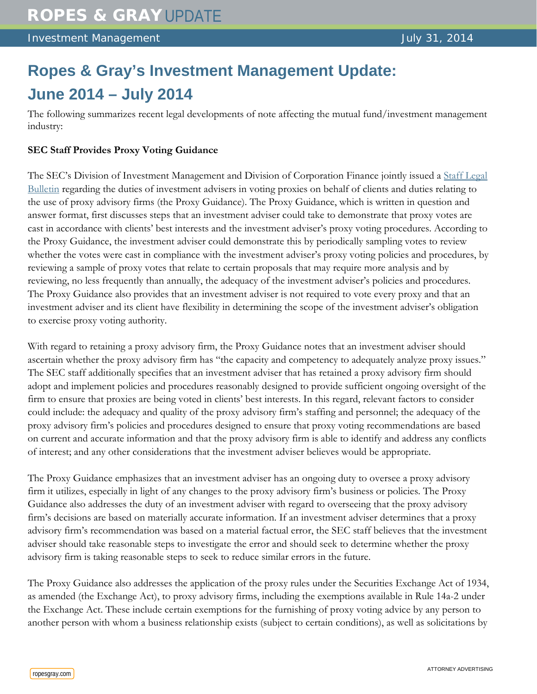# **Ropes & Gray's Investment Management Update: June 2014 – July 2014**

The following summarizes recent legal developments of note affecting the mutual fund/investment management industry:

## **SEC Staff Provides Proxy Voting Guidance**

The SEC's Division of Investment Management and Division of Corporation Finance jointly issued a [Staff Legal](http://www.sec.gov/interps/legal/cfslb20.htm)  [Bulletin](http://www.sec.gov/interps/legal/cfslb20.htm) regarding the duties of investment advisers in voting proxies on behalf of clients and duties relating to the use of proxy advisory firms (the Proxy Guidance). The Proxy Guidance, which is written in question and answer format, first discusses steps that an investment adviser could take to demonstrate that proxy votes are cast in accordance with clients' best interests and the investment adviser's proxy voting procedures. According to the Proxy Guidance, the investment adviser could demonstrate this by periodically sampling votes to review whether the votes were cast in compliance with the investment adviser's proxy voting policies and procedures, by reviewing a sample of proxy votes that relate to certain proposals that may require more analysis and by reviewing, no less frequently than annually, the adequacy of the investment adviser's policies and procedures. The Proxy Guidance also provides that an investment adviser is not required to vote every proxy and that an investment adviser and its client have flexibility in determining the scope of the investment adviser's obligation to exercise proxy voting authority.

With regard to retaining a proxy advisory firm, the Proxy Guidance notes that an investment adviser should ascertain whether the proxy advisory firm has "the capacity and competency to adequately analyze proxy issues." The SEC staff additionally specifies that an investment adviser that has retained a proxy advisory firm should adopt and implement policies and procedures reasonably designed to provide sufficient ongoing oversight of the firm to ensure that proxies are being voted in clients' best interests. In this regard, relevant factors to consider could include: the adequacy and quality of the proxy advisory firm's staffing and personnel; the adequacy of the proxy advisory firm's policies and procedures designed to ensure that proxy voting recommendations are based on current and accurate information and that the proxy advisory firm is able to identify and address any conflicts of interest; and any other considerations that the investment adviser believes would be appropriate.

The Proxy Guidance emphasizes that an investment adviser has an ongoing duty to oversee a proxy advisory firm it utilizes, especially in light of any changes to the proxy advisory firm's business or policies. The Proxy Guidance also addresses the duty of an investment adviser with regard to overseeing that the proxy advisory firm's decisions are based on materially accurate information. If an investment adviser determines that a proxy advisory firm's recommendation was based on a material factual error, the SEC staff believes that the investment adviser should take reasonable steps to investigate the error and should seek to determine whether the proxy advisory firm is taking reasonable steps to seek to reduce similar errors in the future.

The Proxy Guidance also addresses the application of the proxy rules under the Securities Exchange Act of 1934, as amended (the Exchange Act), to proxy advisory firms, including the exemptions available in Rule 14a-2 under the Exchange Act. These include certain exemptions for the furnishing of proxy voting advice by any person to another person with whom a business relationship exists (subject to certain conditions), as well as solicitations by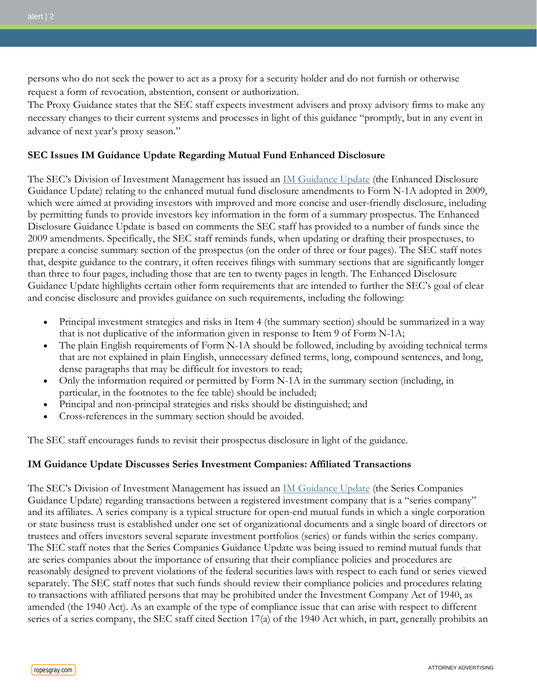persons who do not seek the power to act as a proxy for a security holder and do not furnish or otherwise request a form of revocation, abstention, consent or authorization.

The Proxy Guidance states that the SEC staff expects investment advisers and proxy advisory firms to make any necessary changes to their current systems and processes in light of this guidance "promptly, but in any event in advance of next year's proxy season."

### **SEC Issues IM Guidance Update Regarding Mutual Fund Enhanced Disclosure**

The SEC's Division of Investment Management has issued an [IM Guidance Update](http://www.sec.gov/investment/im-guidance-2014-08.pdf) (the Enhanced Disclosure Guidance Update) relating to the enhanced mutual fund disclosure amendments to Form N-1A adopted in 2009, which were aimed at providing investors with improved and more concise and user-friendly disclosure, including by permitting funds to provide investors key information in the form of a summary prospectus. The Enhanced Disclosure Guidance Update is based on comments the SEC staff has provided to a number of funds since the 2009 amendments. Specifically, the SEC staff reminds funds, when updating or drafting their prospectuses, to prepare a concise summary section of the prospectus (on the order of three or four pages). The SEC staff notes that, despite guidance to the contrary, it often receives filings with summary sections that are significantly longer than three to four pages, including those that are ten to twenty pages in length. The Enhanced Disclosure Guidance Update highlights certain other form requirements that are intended to further the SEC's goal of clear and concise disclosure and provides guidance on such requirements, including the following:

- Principal investment strategies and risks in Item 4 (the summary section) should be summarized in a way that is not duplicative of the information given in response to Item 9 of Form N-1A;
- The plain English requirements of Form N-1A should be followed, including by avoiding technical terms that are not explained in plain English, unnecessary defined terms, long, compound sentences, and long, dense paragraphs that may be difficult for investors to read;
- Only the information required or permitted by Form N-1A in the summary section (including, in particular, in the footnotes to the fee table) should be included;
- Principal and non-principal strategies and risks should be distinguished; and
- Cross-references in the summary section should be avoided.

The SEC staff encourages funds to revisit their prospectus disclosure in light of the guidance.

## **IM Guidance Update Discusses Series Investment Companies: Affiliated Transactions**

The SEC's Division of Investment Management has issued an [IM Guidance Update](http://www.sec.gov/investment/im-guidance-2014-06.pdf) (the Series Companies Guidance Update) regarding transactions between a registered investment company that is a "series company" and its affiliates. A series company is a typical structure for open-end mutual funds in which a single corporation or state business trust is established under one set of organizational documents and a single board of directors or trustees and offers investors several separate investment portfolios (series) or funds within the series company. The SEC staff notes that the Series Companies Guidance Update was being issued to remind mutual funds that are series companies about the importance of ensuring that their compliance policies and procedures are reasonably designed to prevent violations of the federal securities laws with respect to each fund or series viewed separately. The SEC staff notes that such funds should review their compliance policies and procedures relating to transactions with affiliated persons that may be prohibited under the Investment Company Act of 1940, as amended (the 1940 Act). As an example of the type of compliance issue that can arise with respect to different series of a series company, the SEC staff cited Section 17(a) of the 1940 Act which, in part, generally prohibits an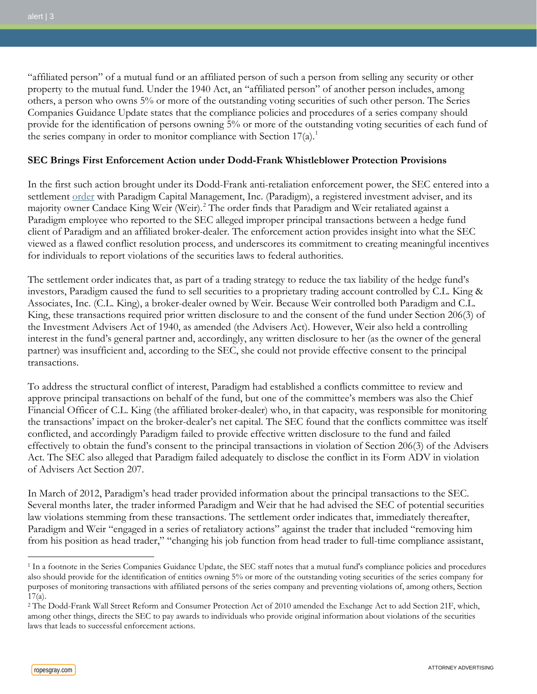"affiliated person" of a mutual fund or an affiliated person of such a person from selling any security or other property to the mutual fund. Under the 1940 Act, an "affiliated person" of another person includes, among others, a person who owns 5% or more of the outstanding voting securities of such other person. The Series Companies Guidance Update states that the compliance policies and procedures of a series company should provide for the identification of persons owning 5% or more of the outstanding voting securities of each fund of the series company in order to monitor compliance with Section  $17(a)$  $17(a)$ .<sup>1</sup>

## **SEC Brings First Enforcement Action under Dodd-Frank Whistleblower Protection Provisions**

In the first such action brought under its Dodd-Frank anti-retaliation enforcement power, the SEC entered into a settlement <u>[order](https://www.sec.gov/litigation/admin/2014/34-72393.pdf)</u> with Paradigm Capital Management, Inc. (Paradigm), a registered investment adviser, and its majority owner Candace King Weir (Weir).[2](#page-2-1) The order finds that Paradigm and Weir retaliated against a Paradigm employee who reported to the SEC alleged improper principal transactions between a hedge fund client of Paradigm and an affiliated broker-dealer. The enforcement action provides insight into what the SEC viewed as a flawed conflict resolution process, and underscores its commitment to creating meaningful incentives for individuals to report violations of the securities laws to federal authorities.

The settlement order indicates that, as part of a trading strategy to reduce the tax liability of the hedge fund's investors, Paradigm caused the fund to sell securities to a proprietary trading account controlled by C.L. King & Associates, Inc. (C.L. King), a broker-dealer owned by Weir. Because Weir controlled both Paradigm and C.L. King, these transactions required prior written disclosure to and the consent of the fund under Section 206(3) of the Investment Advisers Act of 1940, as amended (the Advisers Act). However, Weir also held a controlling interest in the fund's general partner and, accordingly, any written disclosure to her (as the owner of the general partner) was insufficient and, according to the SEC, she could not provide effective consent to the principal transactions.

To address the structural conflict of interest, Paradigm had established a conflicts committee to review and approve principal transactions on behalf of the fund, but one of the committee's members was also the Chief Financial Officer of C.L. King (the affiliated broker-dealer) who, in that capacity, was responsible for monitoring the transactions' impact on the broker-dealer's net capital. The SEC found that the conflicts committee was itself conflicted, and accordingly Paradigm failed to provide effective written disclosure to the fund and failed effectively to obtain the fund's consent to the principal transactions in violation of Section 206(3) of the Advisers Act. The SEC also alleged that Paradigm failed adequately to disclose the conflict in its Form ADV in violation of Advisers Act Section 207.

In March of 2012, Paradigm's head trader provided information about the principal transactions to the SEC. Several months later, the trader informed Paradigm and Weir that he had advised the SEC of potential securities law violations stemming from these transactions. The settlement order indicates that, immediately thereafter, Paradigm and Weir "engaged in a series of retaliatory actions" against the trader that included "removing him from his position as head trader," "changing his job function from head trader to full-time compliance assistant,

 $\overline{a}$ 

<span id="page-2-0"></span><sup>&</sup>lt;sup>1</sup> In a footnote in the Series Companies Guidance Update, the SEC staff notes that a mutual fund's compliance policies and procedures also should provide for the identification of entities owning 5% or more of the outstanding voting securities of the series company for purposes of monitoring transactions with affiliated persons of the series company and preventing violations of, among others, Section  $17(a)$ .

<span id="page-2-1"></span><sup>&</sup>lt;sup>2</sup> The Dodd-Frank Wall Street Reform and Consumer Protection Act of 2010 amended the Exchange Act to add Section 21F, which, among other things, directs the SEC to pay awards to individuals who provide original information about violations of the securities laws that leads to successful enforcement actions.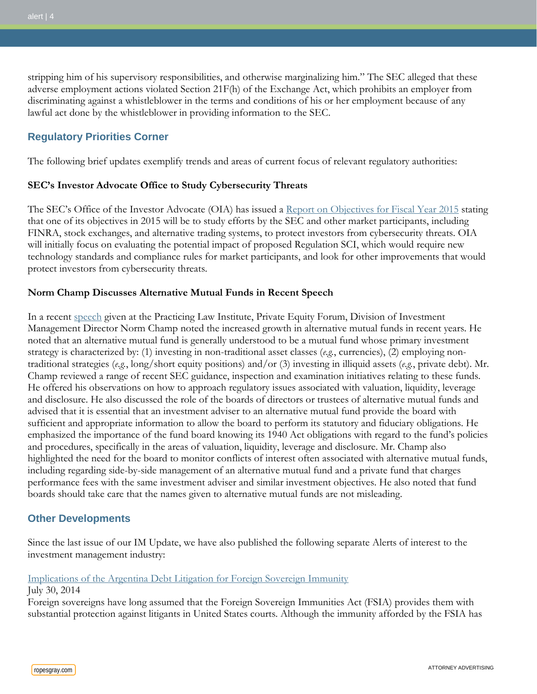stripping him of his supervisory responsibilities, and otherwise marginalizing him." The SEC alleged that these adverse employment actions violated Section 21F(h) of the Exchange Act, which prohibits an employer from discriminating against a whistleblower in the terms and conditions of his or her employment because of any lawful act done by the whistleblower in providing information to the SEC.

# **Regulatory Priorities Corner**

The following brief updates exemplify trends and areas of current focus of relevant regulatory authorities:

## **SEC's Investor Advocate Office to Study Cybersecurity Threats**

The SEC's Office of the Investor Advocate (OIA) has issued a [Report on Objectives for Fiscal Year 2015](http://www.sec.gov/reportspubs/annual-reports/sec-office-investor-advocate-report-on-objectives-fy2015.pdf) stating that one of its objectives in 2015 will be to study efforts by the SEC and other market participants, including FINRA, stock exchanges, and alternative trading systems, to protect investors from cybersecurity threats. OIA will initially focus on evaluating the potential impact of proposed Regulation SCI, which would require new technology standards and compliance rules for market participants, and look for other improvements that would protect investors from cybersecurity threats.

## **Norm Champ Discusses Alternative Mutual Funds in Recent Speech**

In a recent [speech](http://www.sec.gov/News/Speech/Detail/Speech/1370542253660) given at the Practicing Law Institute, Private Equity Forum, Division of Investment Management Director Norm Champ noted the increased growth in alternative mutual funds in recent years. He noted that an alternative mutual fund is generally understood to be a mutual fund whose primary investment strategy is characterized by: (1) investing in non-traditional asset classes (*e.g.*, currencies), (2) employing nontraditional strategies (*e.g.*, long/short equity positions) and/or (3) investing in illiquid assets (*e.g.*, private debt). Mr. Champ reviewed a range of recent SEC guidance, inspection and examination initiatives relating to these funds. He offered his observations on how to approach regulatory issues associated with valuation, liquidity, leverage and disclosure. He also discussed the role of the boards of directors or trustees of alternative mutual funds and advised that it is essential that an investment adviser to an alternative mutual fund provide the board with sufficient and appropriate information to allow the board to perform its statutory and fiduciary obligations. He emphasized the importance of the fund board knowing its 1940 Act obligations with regard to the fund's policies and procedures, specifically in the areas of valuation, liquidity, leverage and disclosure. Mr. Champ also highlighted the need for the board to monitor conflicts of interest often associated with alternative mutual funds, including regarding side-by-side management of an alternative mutual fund and a private fund that charges performance fees with the same investment adviser and similar investment objectives. He also noted that fund boards should take care that the names given to alternative mutual funds are not misleading.

## **Other Developments**

Since the last issue of our IM Update, we have also published the following separate Alerts of interest to the investment management industry:

#### [Implications of the Argentina Debt Litigation for Foreign Sovereign Immunity](http://www.ropesgray.com/news-and-insights/Insights/2014/July/Implications-of-the-Argentina-Debt-Litigation-for-Foreign-Sovereign-Immunity.aspx)

#### July 30, 2014

Foreign sovereigns have long assumed that the Foreign Sovereign Immunities Act (FSIA) provides them with substantial protection against litigants in United States courts. Although the immunity afforded by the FSIA has